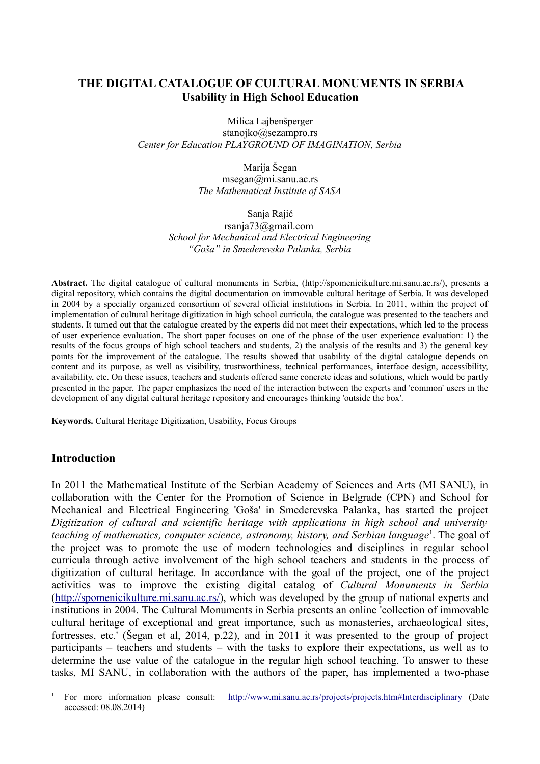# **THE DIGITAL CATALOGUE OF CULTURAL MONUMENTS IN SERBIA Usability in High School Education**

Milica Lajbenšperger stanojko@sezampro.rs *Center for Education PLAYGROUND OF IMAGINATION, Serbia*

> Мarija Šegan msegan@mi.sanu.ac.rs *The Mathematical Institute of SASA*

> > Sanja Rajić

rsanja73@gmail.com *School for Mechanical and Electrical Engineering "Goša" in Smederevska Palanka, Serbia*

**Abstract.** The digital catalogue of cultural monuments in Serbia, (http://spomenicikulture.mi.sanu.ac.rs/), presents a digital repository, which contains the digital documentation on immovable cultural heritage of Serbia. It was developed in 2004 by a specially organized consortium of several official institutions in Serbia. In 2011, within the project of implementation of cultural heritage digitization in high school curricula, the catalogue was presented to the teachers and students. It turned out that the catalogue created by the experts did not meet their expectations, which led to the process of user experience evaluation. The short paper focuses on one of the phase of the user experience evaluation: 1) the results of the focus groups of high school teachers and students, 2) the analysis of the results and 3) the general key points for the improvement of the catalogue. The results showed that usability of the digital catalogue depends on content and its purpose, as well as visibility, trustworthiness, technical performances, interface design, accessibility, availability, etc. On these issues, teachers and students offered same concrete ideas and solutions, which would be partly presented in the paper. The paper emphasizes the need of the interaction between the experts and 'common' users in the development of any digital cultural heritage repository and encourages thinking 'outside the box'.

**Keywords.** Cultural Heritage Digitization, Usability, Focus Groups

### **Introduction**

In 2011 the Mathematical Institute of the Serbian Academy of Sciences and Arts (MI SANU), in collaboration with the Center for the Promotion of Science in Belgrade (CPN) and School for Mechanical and Electrical Engineering 'Goša' in Smederevska Palanka, has started the project *Digitization of cultural and scientific heritage with applications in high school and university* teaching of mathematics, computer science, astronomy, history, and Serbian language<sup>[1](#page-0-0)</sup>. The goal of the project was to promote the use of modern technologies and disciplines in regular school curricula through active involvement of the high school teachers and students in the process of digitization of cultural heritage. In accordance with the goal of the project, one of the project activities was to improve the existing digital catalog of *Cultural Monuments in Serbia* [\(http://spomenicikulture.mi.sanu.ac.rs/\)](http://spomenicikulture.mi.sanu.ac.rs/), which was developed by the group of national experts and institutions in 2004. The Cultural Monuments in Serbia presents an online 'collection of immovable cultural heritage of exceptional and great importance, such as monasteries, archaeological sites, fortresses, etc.' (Šegan et al, 2014, p.22), and in 2011 it was presented to the group of project participants – teachers and students – with the tasks to explore their expectations, as well as to determine the use value of the catalogue in the regular high school teaching. To answer to these tasks, MI SANU, in collaboration with the authors of the paper, has implemented a two-phase

<span id="page-0-0"></span><sup>1</sup> For more information please consult: <http://www.mi.sanu.ac.rs/projects/projects.htm#Interdisciplinary> (Date accessed: 08.08.2014)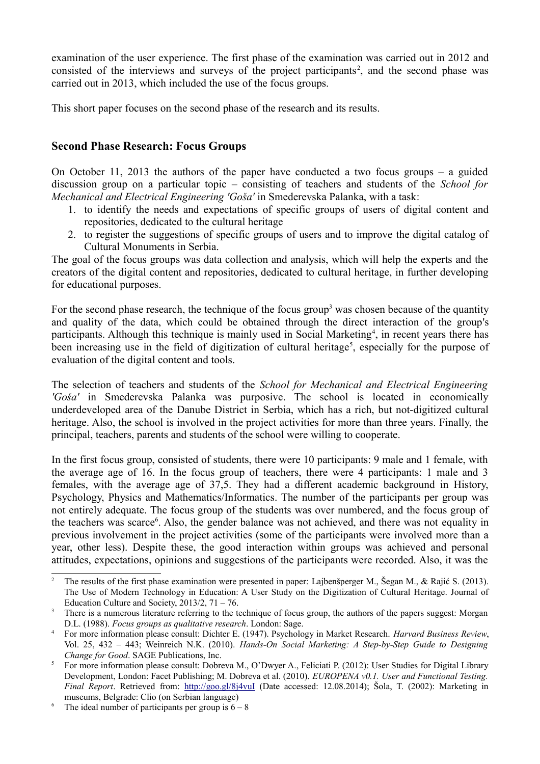examination of the user experience. The first phase of the examination was carried out in 2012 and consisted of the interviews and surveys of the project participants<sup>[2](#page-1-0)</sup>, and the second phase was carried out in 2013, which included the use of the focus groups.

This short paper focuses on the second phase of the research and its results.

## **Second Phase Research: Focus Groups**

On October 11, 2013 the authors of the paper have conducted a two focus groups – a guided discussion group on a particular topic – consisting of teachers and students of the *School for Mechanical and Electrical Engineering 'Goša'* in Smederevska Palanka, with a task:

- 1. to identify the needs and expectations of specific groups of users of digital content and repositories, dedicated to the cultural heritage
- 2. to register the suggestions of specific groups of users and to improve the digital catalog of Cultural Monuments in Serbia.

The goal of the focus groups was data collection and analysis, which will help the experts and the creators of the digital content and repositories, dedicated to cultural heritage, in further developing for educational purposes.

For the second phase research, the technique of the focus group<sup>[3](#page-1-1)</sup> was chosen because of the quantity and quality of the data, which could be obtained through the direct interaction of the group's participants. Although this technique is mainly used in Social Marketing<sup>[4](#page-1-2)</sup>, in recent years there has been increasing use in the field of digitization of cultural heritage<sup>[5](#page-1-3)</sup>, especially for the purpose of evaluation of the digital content and tools.

The selection of teachers and students of the *School for Mechanical and Electrical Engineering 'Goša'* in Smederevska Palanka was purposive. The school is located in economically underdeveloped area of the Danube District in Serbia, which has a rich, but not-digitized cultural heritage. Also, the school is involved in the project activities for more than three years. Finally, the principal, teachers, parents and students of the school were willing to cooperate.

In the first focus group, consisted of students, there were 10 participants: 9 male and 1 female, with the average age of 16. In the focus group of teachers, there were 4 participants: 1 male and 3 females, with the average age of 37,5. They had a different academic background in History, Psychology, Physics and Mathematics/Informatics. The number of the participants per group was not entirely adequate. The focus group of the students was over numbered, and the focus group of the teachers was scarce<sup>[6](#page-1-4)</sup>. Also, the gender balance was not achieved, and there was not equality in previous involvement in the project activities (some of the participants were involved more than a year, other less). Despite these, the good interaction within groups was achieved and personal attitudes, expectations, opinions and suggestions of the participants were recorded. Also, it was the

<span id="page-1-0"></span><sup>2</sup> The results of the first phase examination were presented in paper: Lajbenšperger M., Šegan M., & Rajić S. (2013). The Use of Modern Technology in Education: A User Study on the Digitization of Cultural Heritage. Journal of Education Culture and Society,  $2013/2$ ,  $71 - 76$ .

<span id="page-1-1"></span>There is a numerous literature referring to the technique of focus group, the authors of the papers suggest: Morgan D.L. (1988). *Focus groups as qualitative research*. London: Sage.

<span id="page-1-2"></span><sup>4</sup> For more information please consult: Dichter E. (1947). Psychology in Market Research. *Harvard Business Review*, Vol. 25, 432 – 443; Weinreich N.K. (2010). *Hands-On Social Marketing: A Step-by-Step Guide to Designing Change for Good*. SAGE Publications, Inc.

<span id="page-1-3"></span><sup>5</sup> For more information please consult: Dobreva M., O'Dwyer A., Feliciati P. (2012): User Studies for Digital Library Development, London: Facet Publishing; M. Dobreva et al. (2010). *EUROPENA v0.1. User and Functional Testing. Final Report*. Retrieved from:<http://goo.gl/8j4vuI> (Date accessed: 12.08.2014); Šola, T. (2002): Marketing in museums, Belgrade: Clio (on Serbian language)

<span id="page-1-4"></span>The ideal number of participants per group is  $6 - 8$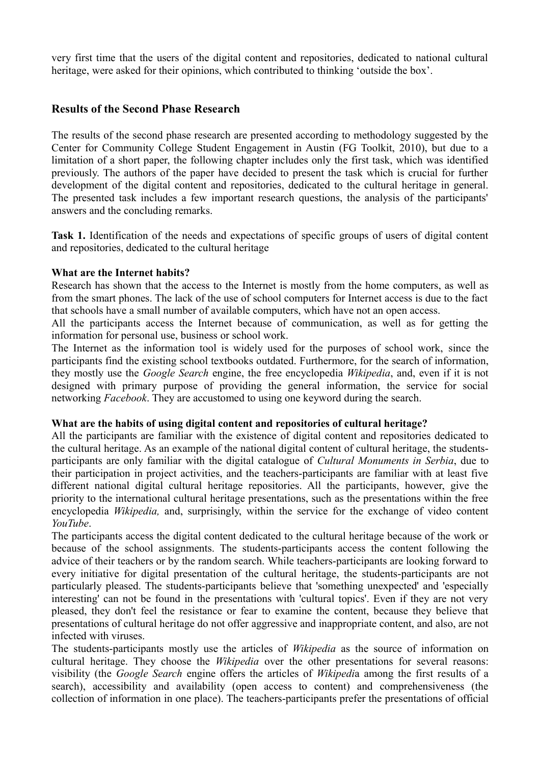very first time that the users of the digital content and repositories, dedicated to national cultural heritage, were asked for their opinions, which contributed to thinking 'outside the box'.

# **Results of the Second Phase Research**

The results of the second phase research are presented according to methodology suggested by the Center for Community College Student Engagement in Austin (FG Toolkit, 2010), but due to a limitation of a short paper, the following chapter includes only the first task, which was identified previously. The authors of the paper have decided to present the task which is crucial for further development of the digital content and repositories, dedicated to the cultural heritage in general. The presented task includes a few important research questions, the analysis of the participants' answers and the concluding remarks.

**Task 1.** Identification of the needs and expectations of specific groups of users of digital content and repositories, dedicated to the cultural heritage

### **What are the Internet habits?**

Research has shown that the access to the Internet is mostly from the home computers, as well as from the smart phones. The lack of the use of school computers for Internet access is due to the fact that schools have a small number of available computers, which have not an open access.

All the participants access the Internet because of communication, as well as for getting the information for personal use, business or school work.

The Internet as the information tool is widely used for the purposes of school work, since the participants find the existing school textbooks outdated. Furthermore, for the search of information, they mostly use the *Google Search* engine, the free encyclopedia *Wikipedia*, and, even if it is not designed with primary purpose of providing the general information, the service for social networking *Facebook*. They are accustomed to using one keyword during the search.

#### **What are the habits of using digital content and repositories of cultural heritage?**

All the participants are familiar with the existence of digital content and repositories dedicated to the cultural heritage. As an example of the national digital content of cultural heritage, the studentsparticipants are only familiar with the digital catalogue of *Cultural Monuments in Serbia*, due to their participation in project activities, and the teachers-participants are familiar with at least five different national digital cultural heritage repositories. All the participants, however, give the priority to the international cultural heritage presentations, such as the presentations within the free encyclopedia *Wikipedia,* and, surprisingly, within the service for the exchange of video content *YouTube*.

The participants access the digital content dedicated to the cultural heritage because of the work or because of the school assignments. The students-participants access the content following the advice of their teachers or by the random search. While teachers-participants are looking forward to every initiative for digital presentation of the cultural heritage, the students-participants are not particularly pleased. The students-participants believe that 'something unexpected' and 'especially interesting' can not be found in the presentations with 'cultural topics'. Even if they are not very pleased, they don't feel the resistance or fear to examine the content, because they believe that presentations of cultural heritage do not offer aggressive and inappropriate content, and also, are not infected with viruses.

The students-participants mostly use the articles of *Wikipedia* as the source of information on cultural heritage. They choose the *Wikipedia* over the other presentations for several reasons: visibility (the *Google Search* engine offers the articles of *Wikipedi*a among the first results of a search), accessibility and availability (open access to content) and comprehensiveness (the collection of information in one place). The teachers-participants prefer the presentations of official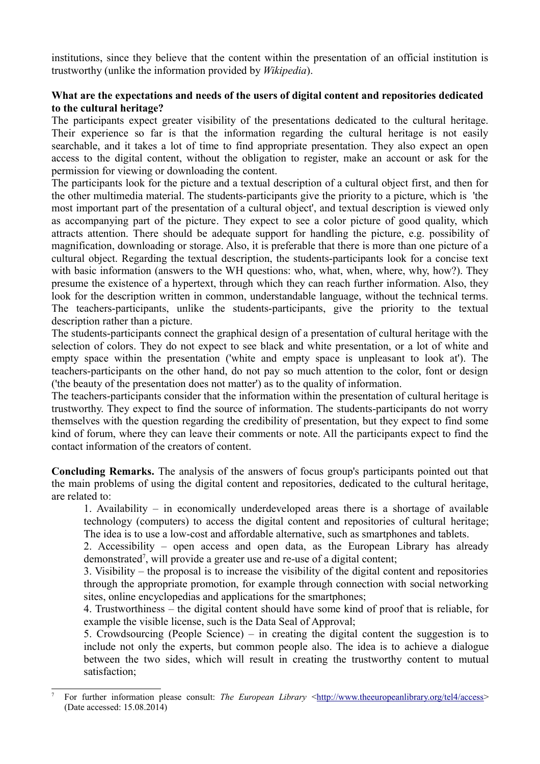institutions, since they believe that the content within the presentation of an official institution is trustworthy (unlike the information provided by *Wikipedia*).

### **What are the expectations and needs of the users of digital content and repositories dedicated to the cultural heritage?**

The participants expect greater visibility of the presentations dedicated to the cultural heritage. Their experience so far is that the information regarding the cultural heritage is not easily searchable, and it takes a lot of time to find appropriate presentation. They also expect an open access to the digital content, without the obligation to register, make an account or ask for the permission for viewing or downloading the content.

The participants look for the picture and a textual description of a cultural object first, and then for the other multimedia material. The students-participants give the priority to a picture, which is 'the most important part of the presentation of a cultural object', and textual description is viewed only as accompanying part of the picture. They expect to see a color picture of good quality, which attracts attention. There should be adequate support for handling the picture, e.g. possibility of magnification, downloading or storage. Also, it is preferable that there is more than one picture of a cultural object. Regarding the textual description, the students-participants look for a concise text with basic information (answers to the WH questions: who, what, when, where, why, how?). They presume the existence of a hypertext, through which they can reach further information. Also, they look for the description written in common, understandable language, without the technical terms. The teachers-participants, unlike the students-participants, give the priority to the textual description rather than a picture.

The students-participants connect the graphical design of a presentation of cultural heritage with the selection of colors. They do not expect to see black and white presentation, or a lot of white and empty space within the presentation ('white and empty space is unpleasant to look at'). The teachers-participants on the other hand, do not pay so much attention to the color, font or design ('the beauty of the presentation does not matter') as to the quality of information.

The teachers-participants consider that the information within the presentation of cultural heritage is trustworthy. They expect to find the source of information. The students-participants do not worry themselves with the question regarding the credibility of presentation, but they expect to find some kind of forum, where they can leave their comments or note. All the participants expect to find the contact information of the creators of content.

**Concluding Remarks.** The analysis of the answers of focus group's participants pointed out that the main problems of using the digital content and repositories, dedicated to the cultural heritage, are related to:

1. Availability – in economically underdeveloped areas there is a shortage of available technology (computers) to access the digital content and repositories of cultural heritage; The idea is to use a low-cost and affordable alternative, such as smartphones and tablets.

2. Accessibility – open access and open data, as the European Library has already demonstrated<sup>[7](#page-3-0)</sup>, will provide a greater use and re-use of a digital content;

3. Visibility – the proposal is to increase the visibility of the digital content and repositories through the appropriate promotion, for example through connection with social networking sites, online encyclopedias and applications for the smartphones;

4. Trustworthiness – the digital content should have some kind of proof that is reliable, for example the visible license, such is the Data Seal of Approval;

5. Crowdsourcing (People Science) – in creating the digital content the suggestion is to include not only the experts, but common people also. The idea is to achieve a dialogue between the two sides, which will result in creating the trustworthy content to mutual satisfaction;

<span id="page-3-0"></span>For further information please consult: *The European Library* <http://www.theeuropeanlibrary.org/tel4/access> (Date accessed: 15.08.2014)